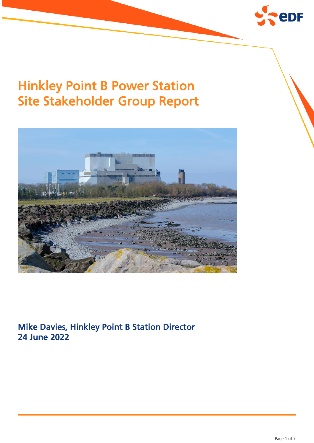

# Hinkley Point B Power Station Site Stakeholder Group Report



Mike Davies, Hinkley Point B Station Director 24 June 2022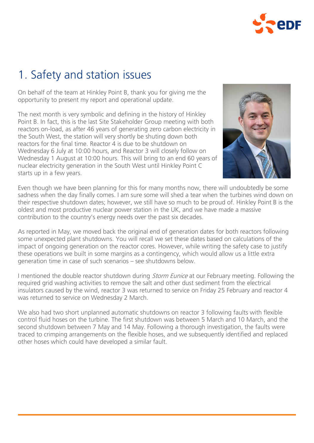

## 1. Safety and station issues

On behalf of the team at Hinkley Point B, thank you for giving me the opportunity to present my report and operational update.

The next month is very symbolic and defining in the history of Hinkley Point B. In fact, this is the last Site Stakeholder Group meeting with both reactors on-load, as after 46 years of generating zero carbon electricity in the South West, the station will very shortly be shuting down both reactors for the final time. Reactor 4 is due to be shutdown on Wednesday 6 July at 10:00 hours, and Reactor 3 will closely follow on Wednesday 1 August at 10:00 hours. This will bring to an end 60 years of nuclear electricity generation in the South West until Hinkley Point C starts up in a few years.



Even though we have been planning for this for many months now, there will undoubtedly be some sadness when the day finally comes. I am sure some will shed a tear when the turbines wind down on their respective shutdown dates; however, we still have so much to be proud of. Hinkley Point B is the oldest and most productive nuclear power station in the UK, and we have made a massive contribution to the country's energy needs over the past six decades.

As reported in May, we moved back the original end of generation dates for both reactors following some unexpected plant shutdowns. You will recall we set these dates based on calculations of the impact of ongoing generation on the reactor cores. However, while writing the safety case to justify these operations we built in some margins as a contingency, which would allow us a little extra generation time in case of such scenarios – see shutdowns below.

I mentioned the double reactor shutdown during *Storm Eunice* at our February meeting. Following the required grid washing activities to remove the salt and other dust sediment from the electrical insulators caused by the wind, reactor 3 was returned to service on Friday 25 February and reactor 4 was returned to service on Wednesday 2 March.

We also had two short unplanned automatic shutdowns on reactor 3 following faults with flexible control fluid hoses on the turbine. The first shutdown was between 5 March and 10 March, and the second shutdown between 7 May and 14 May. Following a thorough investigation, the faults were traced to crimping arrangements on the flexible hoses, and we subsequently identified and replaced other hoses which could have developed a similar fault.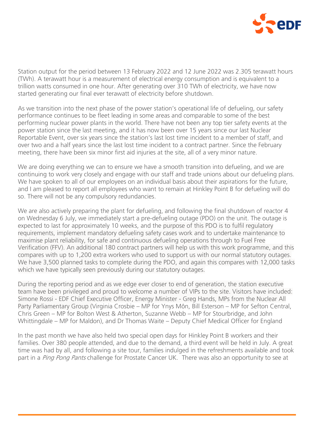

Station output for the period between 13 February 2022 and 12 June 2022 was 2.305 terawatt hours (TWh). A terawatt hour is a measurement of electrical energy consumption and is equivalent to a trillion watts consumed in one hour. After generating over 310 TWh of electricity, we have now started generating our final ever terawatt of electricity before shutdown.

As we transition into the next phase of the power station's operational life of defueling, our safety performance continues to be fleet leading in some areas and comparable to some of the best performing nuclear power plants in the world. There have not been any top tier safety events at the power station since the last meeting, and it has now been over 15 years since our last Nuclear Reportable Event, over six years since the station's last lost time incident to a member of staff, and over two and a half years since the last lost time incident to a contract partner. Since the February meeting, there have been six minor first aid injuries at the site, all of a very minor nature.

We are doing everything we can to ensure we have a smooth transition into defueling, and we are continuing to work very closely and engage with our staff and trade unions about our defueling plans. We have spoken to all of our employees on an individual basis about their aspirations for the future, and I am pleased to report all employees who want to remain at Hinkley Point B for defueling will do so. There will not be any compulsory redundancies.

We are also actively preparing the plant for defueling, and following the final shutdown of reactor 4 on Wednesday 6 July, we immediately start a pre-defueling outage (PDO) on the unit. The outage is expected to last for approximately 10 weeks, and the purpose of this PDO is to fulfil regulatory requirements, implement mandatory defueling safety cases work and to undertake maintenance to maximise plant reliability, for safe and continuous defueling operations through to Fuel Free Verification (FFV). An additional 180 contract partners will help us with this work programme, and this compares with up to 1,200 extra workers who used to support us with our normal statutory outages. We have 3,500 planned tasks to complete during the PDO, and again this compares with 12,000 tasks which we have typically seen previously during our statutory outages.

During the reporting period and as we edge ever closer to end of generation, the station executive team have been privileged and proud to welcome a number of VIPs to the site. Visitors have included: Simone Rossi - EDF Chief Executive Officer, Energy Minister - Greg Hands, MPs from the Nuclear All Party Parliamentary Group (Virginia Crosbie – MP for Ynys Môn, Bill Esterson – MP for Sefton Central, Chris Green – MP for Bolton West & Atherton, Suzanne Webb – MP for Stourbridge, and John Whittingdale – MP for Maldon), and Dr Thomas Waite – Deputy Chief Medical Officer for England

In the past month we have also held two special open days for Hinkley Point B workers and their families. Over 380 people attended, and due to the demand, a third event will be held in July. A great time was had by all, and following a site tour, families indulged in the refreshments available and took part in a Ping Pong Pants challenge for Prostate Cancer UK. There was also an opportunity to see at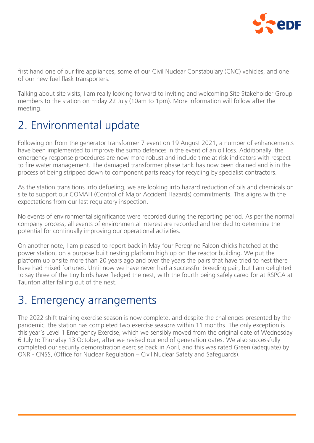

first hand one of our fire appliances, some of our Civil Nuclear Constabulary (CNC) vehicles, and one of our new fuel flask transporters.

Talking about site visits, I am really looking forward to inviting and welcoming Site Stakeholder Group members to the station on Friday 22 July (10am to 1pm). More information will follow after the meeting.

### 2. Environmental update

Following on from the generator transformer 7 event on 19 August 2021, a number of enhancements have been implemented to improve the sump defences in the event of an oil loss. Additionally, the emergency response procedures are now more robust and include time at risk indicators with respect to fire water management. The damaged transformer phase tank has now been drained and is in the process of being stripped down to component parts ready for recycling by specialist contractors.

As the station transitions into defueling, we are looking into hazard reduction of oils and chemicals on site to support our COMAH (Control of Major Accident Hazards) commitments. This aligns with the expectations from our last regulatory inspection.

No events of environmental significance were recorded during the reporting period. As per the normal company process, all events of environmental interest are recorded and trended to determine the potential for continually improving our operational activities.

On another note, I am pleased to report back in May four Peregrine Falcon chicks hatched at the power station, on a purpose built nesting platform high up on the reactor building. We put the platform up onsite more than 20 years ago and over the years the pairs that have tried to nest there have had mixed fortunes. Until now we have never had a successful breeding pair, but I am delighted to say three of the tiny birds have fledged the nest, with the fourth being safely cared for at RSPCA at Taunton after falling out of the nest.

### 3. Emergency arrangements

The 2022 shift training exercise season is now complete, and despite the challenges presented by the pandemic, the station has completed two exercise seasons within 11 months. The only exception is this year's Level 1 Emergency Exercise, which we sensibly moved from the original date of Wednesday 6 July to Thursday 13 October, after we revised our end of generation dates. We also successfully completed our security demonstration exercise back in April, and this was rated Green (adequate) by ONR - CNSS, (Office for Nuclear Regulation – Civil Nuclear Safety and Safeguards).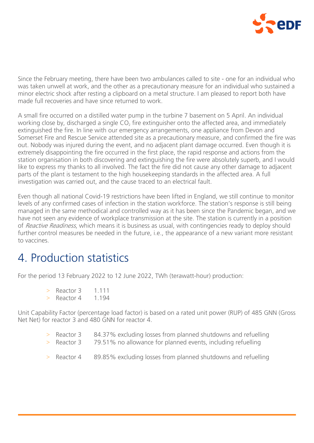

Since the February meeting, there have been two ambulances called to site - one for an individual who was taken unwell at work, and the other as a precautionary measure for an individual who sustained a minor electric shock after resting a clipboard on a metal structure. I am pleased to report both have made full recoveries and have since returned to work.

A small fire occurred on a distilled water pump in the turbine 7 basement on 5 April. An individual working close by, discharged a single  $CO<sub>2</sub>$  fire extinguisher onto the affected area, and immediately extinguished the fire. In line with our emergency arrangements, one appliance from Devon and Somerset Fire and Rescue Service attended site as a precautionary measure, and confirmed the fire was out. Nobody was injured during the event, and no adjacent plant damage occurred. Even though it is extremely disappointing the fire occurred in the first place, the rapid response and actions from the station organisation in both discovering and extinguishing the fire were absolutely superb, and I would like to express my thanks to all involved. The fact the fire did not cause any other damage to adjacent parts of the plant is testament to the high housekeeping standards in the affected area. A full investigation was carried out, and the cause traced to an electrical fault.

Even though all national Covid-19 restrictions have been lifted in England, we still continue to monitor levels of any confirmed cases of infection in the station workforce. The station's response is still being managed in the same methodical and controlled way as it has been since the Pandemic began, and we have not seen any evidence of workplace transmission at the site. The station is currently in a position of Reactive Readiness, which means it is business as usual, with contingencies ready to deploy should further control measures be needed in the future, i.e., the appearance of a new variant more resistant to vaccines.

## 4. Production statistics

For the period 13 February 2022 to 12 June 2022, TWh (terawatt-hour) production:

| Reactor 3 | 1.111 |
|-----------|-------|
| Reactor 4 | 1 194 |

Unit Capability Factor (percentage load factor) is based on a rated unit power (RUP) of 485 GNN (Gross Net Net) for reactor 3 and 480 GNN for reactor 4.

- > Reactor 3 84.37% excluding losses from planned shutdowns and refuelling
- > Reactor 3 79.51% no allowance for planned events, including refuelling
- > Reactor 4 89.85% excluding losses from planned shutdowns and refuelling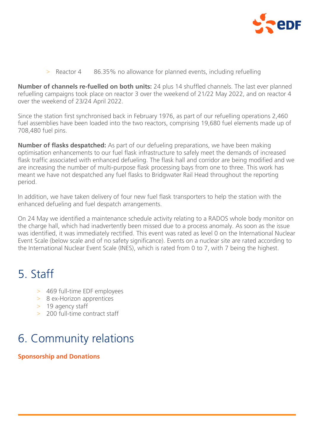

#### > Reactor 4 86.35% no allowance for planned events, including refuelling

**Number of channels re-fuelled on both units:** 24 plus 14 shuffled channels. The last ever planned refuelling campaigns took place on reactor 3 over the weekend of 21/22 May 2022, and on reactor 4 over the weekend of 23/24 April 2022.

Since the station first synchronised back in February 1976, as part of our refuelling operations 2,460 fuel assemblies have been loaded into the two reactors, comprising 19,680 fuel elements made up of 708,480 fuel pins.

**Number of flasks despatched:** As part of our defueling preparations, we have been making optimisation enhancements to our fuel flask infrastructure to safely meet the demands of increased flask traffic associated with enhanced defueling. The flask hall and corridor are being modified and we are increasing the number of multi-purpose flask processing bays from one to three. This work has meant we have not despatched any fuel flasks to Bridgwater Rail Head throughout the reporting period.

In addition, we have taken delivery of four new fuel flask transporters to help the station with the enhanced defueling and fuel despatch arrangements.

On 24 May we identified a maintenance schedule activity relating to a RADOS whole body monitor on the charge hall, which had inadvertently been missed due to a process anomaly. As soon as the issue was identified, it was immediately rectified. This event was rated as level 0 on the International Nuclear Event Scale (below scale and of no safety significance). Events on a nuclear site are rated according to the International Nuclear Event Scale (INES), which is rated from 0 to 7, with 7 being the highest.

### 5. Staff

- > 469 full-time EDF employees
- > 8 ex-Horizon apprentices
- > 19 agency staff
- > 200 full-time contract staff

### 6. Community relations

#### **Sponsorship and Donations**